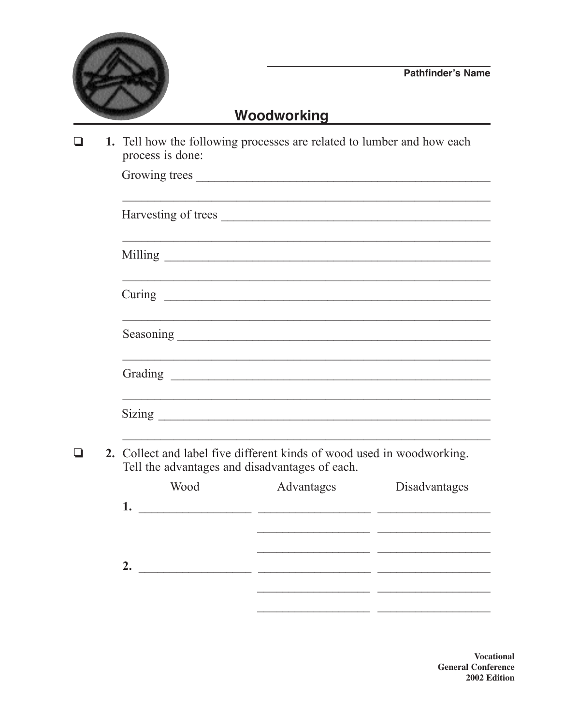

 $\Box$ 

## Woodworking

1. Tell how the following processes are related to lumber and how each process is done:  $\Box$ 

|  | Harvesting of trees |                                                                                   |
|--|---------------------|-----------------------------------------------------------------------------------|
|  |                     |                                                                                   |
|  |                     |                                                                                   |
|  |                     |                                                                                   |
|  |                     |                                                                                   |
|  |                     |                                                                                   |
|  |                     | ,我们也不能在这里的时候,我们也不能在这里的时候,我们也不能会在这里的时候,我们也不能会在这里的时候,我们也不能会在这里的时候,我们也不能会在这里的时候,我们也不 |

|    | Wood | Advantages | Disadvantages |
|----|------|------------|---------------|
| 1. |      |            |               |
|    |      |            |               |
|    |      |            |               |
| 2. |      |            |               |
|    |      |            |               |
|    |      |            |               |

**Vocational General Conference** 2002 Edition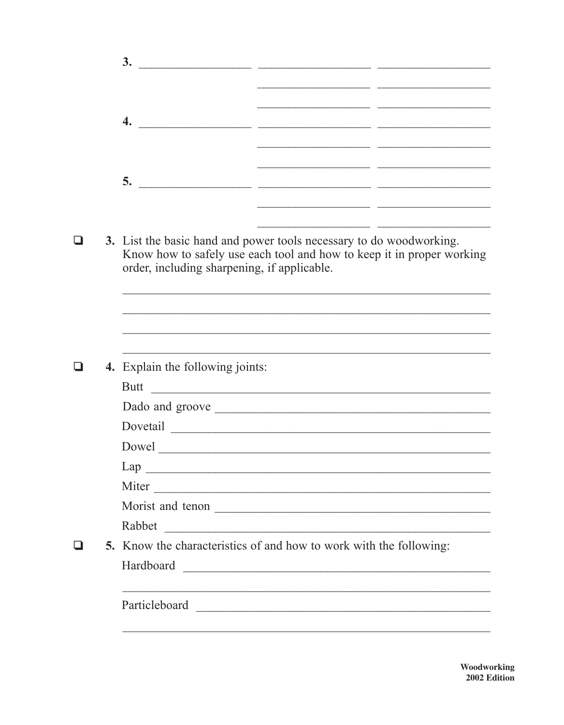|  | 3.<br><u> 1980 - Jan James James, martin a</u>                                                                                                                                              |  |  |  |  |
|--|---------------------------------------------------------------------------------------------------------------------------------------------------------------------------------------------|--|--|--|--|
|  | <u> 1990 - Johann John Harry John Harry Harry Harry Harry Harry Harry Harry Harry Harry Harry Harry Harry Harry H</u><br>$\overline{4}$ .                                                   |  |  |  |  |
|  | 5.<br><u> 1989 - Jan Samuel Barbara, margaret eta idazlea (h. 1982).</u>                                                                                                                    |  |  |  |  |
|  | 3. List the basic hand and power tools necessary to do woodworking.<br>Know how to safely use each tool and how to keep it in proper working<br>order, including sharpening, if applicable. |  |  |  |  |
|  |                                                                                                                                                                                             |  |  |  |  |
|  | 4. Explain the following joints:<br><b>Butt</b>                                                                                                                                             |  |  |  |  |
|  |                                                                                                                                                                                             |  |  |  |  |
|  | Dovetail                                                                                                                                                                                    |  |  |  |  |
|  |                                                                                                                                                                                             |  |  |  |  |
|  | Lap                                                                                                                                                                                         |  |  |  |  |
|  | Miter                                                                                                                                                                                       |  |  |  |  |
|  | Morist and tenon                                                                                                                                                                            |  |  |  |  |
|  | Rabbet                                                                                                                                                                                      |  |  |  |  |
|  | 5. Know the characteristics of and how to work with the following:                                                                                                                          |  |  |  |  |
|  | ,我们也不能在这里的时候,我们也不能在这里的时候,我们也不能会在这里,我们也不能会在这里的时候,我们也不能会在这里的时候,我们也不能会在这里的时候,我们也不能会<br>Particleboard                                                                                           |  |  |  |  |
|  |                                                                                                                                                                                             |  |  |  |  |